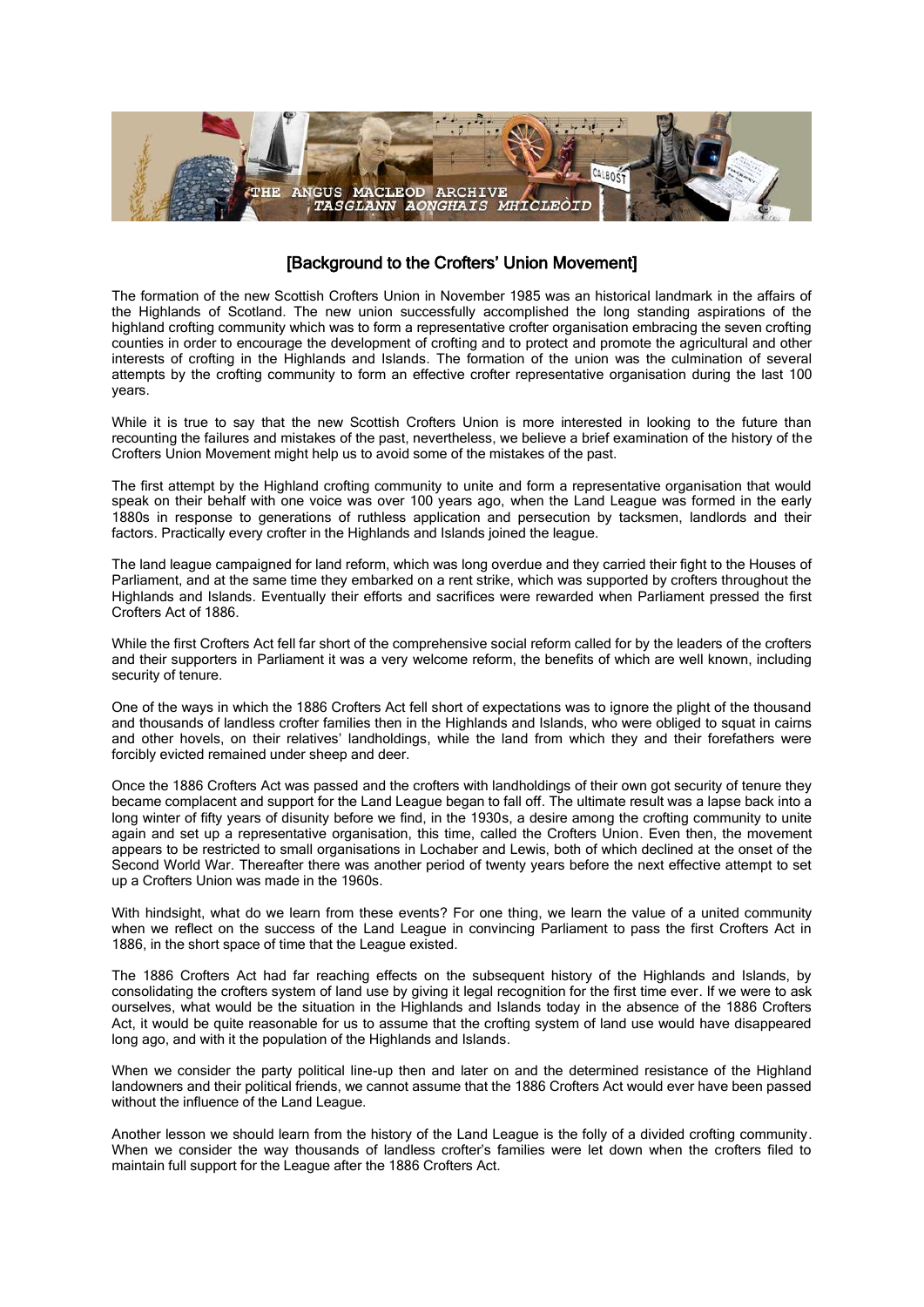

## [Background to the Crofters' Union Movement]

The formation of the new Scottish Crofters Union in November 1985 was an historical landmark in the affairs of the Highlands of Scotland. The new union successfully accomplished the long standing aspirations of the highland crofting community which was to form a representative crofter organisation embracing the seven crofting counties in order to encourage the development of crofting and to protect and promote the agricultural and other interests of crofting in the Highlands and Islands. The formation of the union was the culmination of several attempts by the crofting community to form an effective crofter representative organisation during the last 100 years.

While it is true to say that the new Scottish Crofters Union is more interested in looking to the future than recounting the failures and mistakes of the past, nevertheless, we believe a brief examination of the history of the Crofters Union Movement might help us to avoid some of the mistakes of the past.

The first attempt by the Highland crofting community to unite and form a representative organisation that would speak on their behalf with one voice was over 100 years ago, when the Land League was formed in the early 1880s in response to generations of ruthless application and persecution by tacksmen, landlords and their factors. Practically every crofter in the Highlands and Islands joined the league.

The land league campaigned for land reform, which was long overdue and they carried their fight to the Houses of Parliament, and at the same time they embarked on a rent strike, which was supported by crofters throughout the Highlands and Islands. Eventually their efforts and sacrifices were rewarded when Parliament pressed the first Crofters Act of 1886.

While the first Crofters Act fell far short of the comprehensive social reform called for by the leaders of the crofters and their supporters in Parliament it was a very welcome reform, the benefits of which are well known, including security of tenure.

One of the ways in which the 1886 Crofters Act fell short of expectations was to ignore the plight of the thousand and thousands of landless crofter families then in the Highlands and Islands, who were obliged to squat in cairns and other hovels, on their relatives' landholdings, while the land from which they and their forefathers were forcibly evicted remained under sheep and deer.

Once the 1886 Crofters Act was passed and the crofters with landholdings of their own got security of tenure they became complacent and support for the Land League began to fall off. The ultimate result was a lapse back into a long winter of fifty years of disunity before we find, in the 1930s, a desire among the crofting community to unite again and set up a representative organisation, this time, called the Crofters Union. Even then, the movement appears to be restricted to small organisations in Lochaber and Lewis, both of which declined at the onset of the Second World War. Thereafter there was another period of twenty years before the next effective attempt to set up a Crofters Union was made in the 1960s.

With hindsight, what do we learn from these events? For one thing, we learn the value of a united community when we reflect on the success of the Land League in convincing Parliament to pass the first Crofters Act in 1886, in the short space of time that the League existed.

The 1886 Crofters Act had far reaching effects on the subsequent history of the Highlands and Islands, by consolidating the crofters system of land use by giving it legal recognition for the first time ever. If we were to ask ourselves, what would be the situation in the Highlands and Islands today in the absence of the 1886 Crofters Act, it would be quite reasonable for us to assume that the crofting system of land use would have disappeared long ago, and with it the population of the Highlands and Islands.

When we consider the party political line-up then and later on and the determined resistance of the Highland landowners and their political friends, we cannot assume that the 1886 Crofters Act would ever have been passed without the influence of the Land League.

Another lesson we should learn from the history of the Land League is the folly of a divided crofting community. When we consider the way thousands of landless crofter's families were let down when the crofters filed to maintain full support for the League after the 1886 Crofters Act.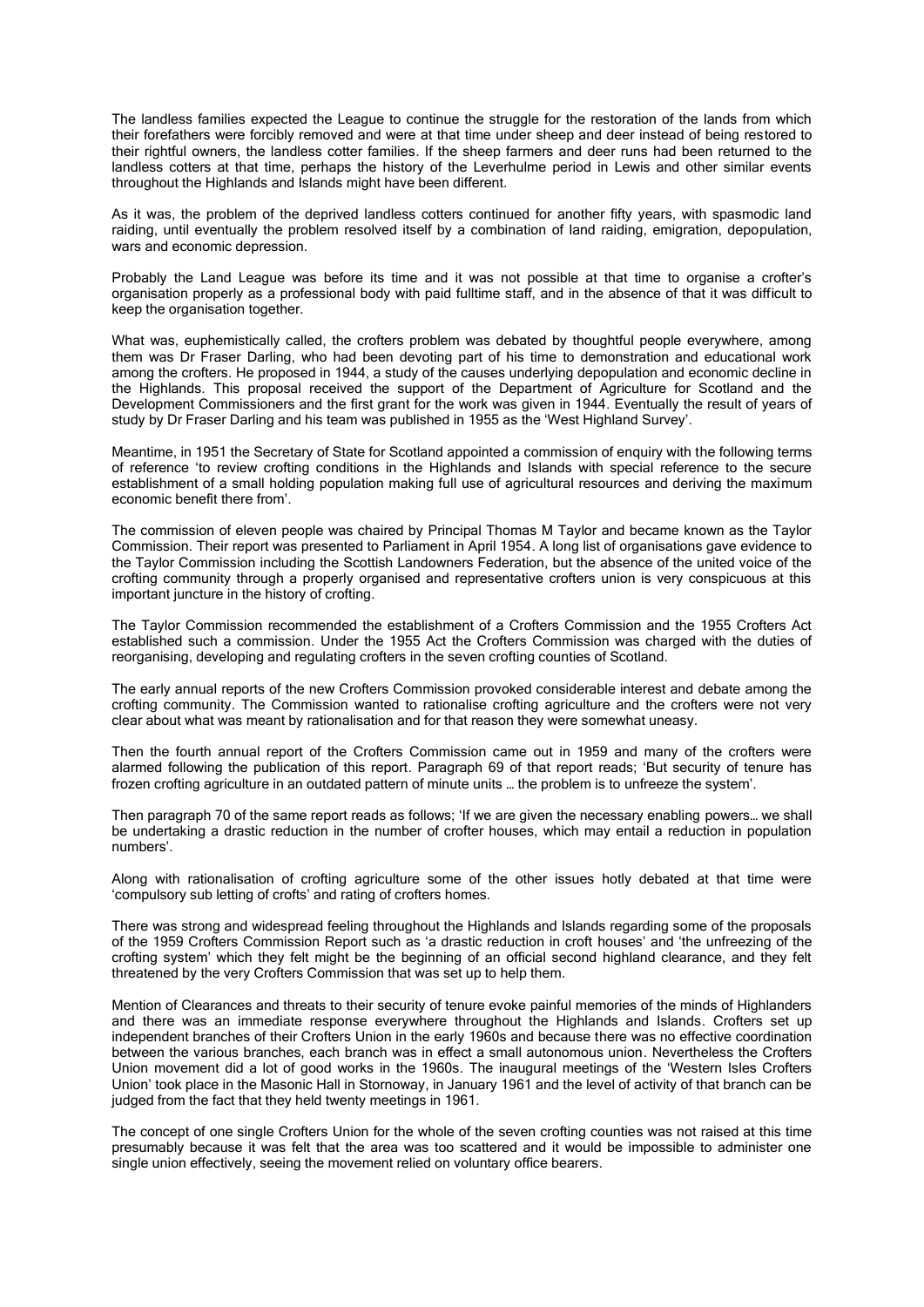The landless families expected the League to continue the struggle for the restoration of the lands from which their forefathers were forcibly removed and were at that time under sheep and deer instead of being restored to their rightful owners, the landless cotter families. If the sheep farmers and deer runs had been returned to the landless cotters at that time, perhaps the history of the Leverhulme period in Lewis and other similar events throughout the Highlands and Islands might have been different.

As it was, the problem of the deprived landless cotters continued for another fifty years, with spasmodic land raiding, until eventually the problem resolved itself by a combination of land raiding, emigration, depopulation, wars and economic depression.

Probably the Land League was before its time and it was not possible at that time to organise a crofter's organisation properly as a professional body with paid fulltime staff, and in the absence of that it was difficult to keep the organisation together.

What was, euphemistically called, the crofters problem was debated by thoughtful people everywhere, among them was Dr Fraser Darling, who had been devoting part of his time to demonstration and educational work among the crofters. He proposed in 1944, a study of the causes underlying depopulation and economic decline in the Highlands. This proposal received the support of the Department of Agriculture for Scotland and the Development Commissioners and the first grant for the work was given in 1944. Eventually the result of years of study by Dr Fraser Darling and his team was published in 1955 as the 'West Highland Survey'.

Meantime, in 1951 the Secretary of State for Scotland appointed a commission of enquiry with the following terms of reference 'to review crofting conditions in the Highlands and Islands with special reference to the secure establishment of a small holding population making full use of agricultural resources and deriving the maximum economic benefit there from'.

The commission of eleven people was chaired by Principal Thomas M Taylor and became known as the Taylor Commission. Their report was presented to Parliament in April 1954. A long list of organisations gave evidence to the Taylor Commission including the Scottish Landowners Federation, but the absence of the united voice of the crofting community through a properly organised and representative crofters union is very conspicuous at this important juncture in the history of crofting.

The Taylor Commission recommended the establishment of a Crofters Commission and the 1955 Crofters Act established such a commission. Under the 1955 Act the Crofters Commission was charged with the duties of reorganising, developing and regulating crofters in the seven crofting counties of Scotland.

The early annual reports of the new Crofters Commission provoked considerable interest and debate among the crofting community. The Commission wanted to rationalise crofting agriculture and the crofters were not very clear about what was meant by rationalisation and for that reason they were somewhat uneasy.

Then the fourth annual report of the Crofters Commission came out in 1959 and many of the crofters were alarmed following the publication of this report. Paragraph 69 of that report reads; 'But security of tenure has frozen crofting agriculture in an outdated pattern of minute units … the problem is to unfreeze the system'.

Then paragraph 70 of the same report reads as follows; 'If we are given the necessary enabling powers… we shall be undertaking a drastic reduction in the number of crofter houses, which may entail a reduction in population numbers'.

Along with rationalisation of crofting agriculture some of the other issues hotly debated at that time were 'compulsory sub letting of crofts' and rating of crofters homes.

There was strong and widespread feeling throughout the Highlands and Islands regarding some of the proposals of the 1959 Crofters Commission Report such as 'a drastic reduction in croft houses' and 'the unfreezing of the crofting system' which they felt might be the beginning of an official second highland clearance, and they felt threatened by the very Crofters Commission that was set up to help them.

Mention of Clearances and threats to their security of tenure evoke painful memories of the minds of Highlanders and there was an immediate response everywhere throughout the Highlands and Islands. Crofters set up independent branches of their Crofters Union in the early 1960s and because there was no effective coordination between the various branches, each branch was in effect a small autonomous union. Nevertheless the Crofters Union movement did a lot of good works in the 1960s. The inaugural meetings of the 'Western Isles Crofters Union' took place in the Masonic Hall in Stornoway, in January 1961 and the level of activity of that branch can be judged from the fact that they held twenty meetings in 1961.

The concept of one single Crofters Union for the whole of the seven crofting counties was not raised at this time presumably because it was felt that the area was too scattered and it would be impossible to administer one single union effectively, seeing the movement relied on voluntary office bearers.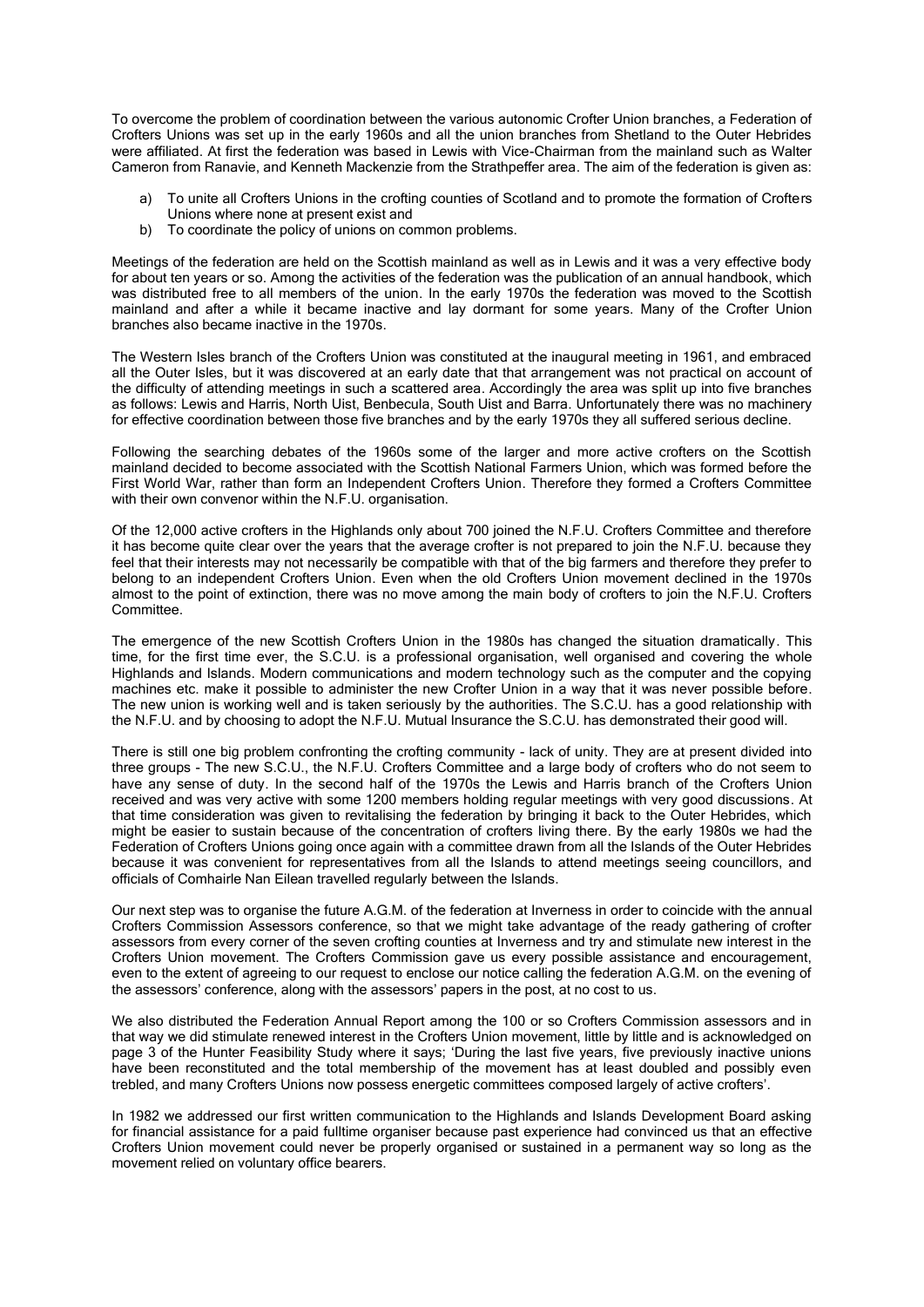To overcome the problem of coordination between the various autonomic Crofter Union branches, a Federation of Crofters Unions was set up in the early 1960s and all the union branches from Shetland to the Outer Hebrides were affiliated. At first the federation was based in Lewis with Vice-Chairman from the mainland such as Walter Cameron from Ranavie, and Kenneth Mackenzie from the Strathpeffer area. The aim of the federation is given as:

- a) To unite all Crofters Unions in the crofting counties of Scotland and to promote the formation of Crofters Unions where none at present exist and
- b) To coordinate the policy of unions on common problems.

Meetings of the federation are held on the Scottish mainland as well as in Lewis and it was a very effective body for about ten years or so. Among the activities of the federation was the publication of an annual handbook, which was distributed free to all members of the union. In the early 1970s the federation was moved to the Scottish mainland and after a while it became inactive and lay dormant for some years. Many of the Crofter Union branches also became inactive in the 1970s.

The Western Isles branch of the Crofters Union was constituted at the inaugural meeting in 1961, and embraced all the Outer Isles, but it was discovered at an early date that that arrangement was not practical on account of the difficulty of attending meetings in such a scattered area. Accordingly the area was split up into five branches as follows: Lewis and Harris, North Uist, Benbecula, South Uist and Barra. Unfortunately there was no machinery for effective coordination between those five branches and by the early 1970s they all suffered serious decline.

Following the searching debates of the 1960s some of the larger and more active crofters on the Scottish mainland decided to become associated with the Scottish National Farmers Union, which was formed before the First World War, rather than form an Independent Crofters Union. Therefore they formed a Crofters Committee with their own convenor within the N.F.U. organisation.

Of the 12,000 active crofters in the Highlands only about 700 joined the N.F.U. Crofters Committee and therefore it has become quite clear over the years that the average crofter is not prepared to join the N.F.U. because they feel that their interests may not necessarily be compatible with that of the big farmers and therefore they prefer to belong to an independent Crofters Union. Even when the old Crofters Union movement declined in the 1970s almost to the point of extinction, there was no move among the main body of crofters to join the N.F.U. Crofters Committee.

The emergence of the new Scottish Crofters Union in the 1980s has changed the situation dramatically. This time, for the first time ever, the S.C.U. is a professional organisation, well organised and covering the whole Highlands and Islands. Modern communications and modern technology such as the computer and the copying machines etc. make it possible to administer the new Crofter Union in a way that it was never possible before. The new union is working well and is taken seriously by the authorities. The S.C.U. has a good relationship with the N.F.U. and by choosing to adopt the N.F.U. Mutual Insurance the S.C.U. has demonstrated their good will.

There is still one big problem confronting the crofting community - lack of unity. They are at present divided into three groups - The new S.C.U., the N.F.U. Crofters Committee and a large body of crofters who do not seem to have any sense of duty. In the second half of the 1970s the Lewis and Harris branch of the Crofters Union received and was very active with some 1200 members holding regular meetings with very good discussions. At that time consideration was given to revitalising the federation by bringing it back to the Outer Hebrides, which might be easier to sustain because of the concentration of crofters living there. By the early 1980s we had the Federation of Crofters Unions going once again with a committee drawn from all the Islands of the Outer Hebrides because it was convenient for representatives from all the Islands to attend meetings seeing councillors, and officials of Comhairle Nan Eilean travelled regularly between the Islands.

Our next step was to organise the future A.G.M. of the federation at Inverness in order to coincide with the annual Crofters Commission Assessors conference, so that we might take advantage of the ready gathering of crofter assessors from every corner of the seven crofting counties at Inverness and try and stimulate new interest in the Crofters Union movement. The Crofters Commission gave us every possible assistance and encouragement, even to the extent of agreeing to our request to enclose our notice calling the federation A.G.M. on the evening of the assessors' conference, along with the assessors' papers in the post, at no cost to us.

We also distributed the Federation Annual Report among the 100 or so Crofters Commission assessors and in that way we did stimulate renewed interest in the Crofters Union movement, little by little and is acknowledged on page 3 of the Hunter Feasibility Study where it says; 'During the last five years, five previously inactive unions have been reconstituted and the total membership of the movement has at least doubled and possibly even trebled, and many Crofters Unions now possess energetic committees composed largely of active crofters'.

In 1982 we addressed our first written communication to the Highlands and Islands Development Board asking for financial assistance for a paid fulltime organiser because past experience had convinced us that an effective Crofters Union movement could never be properly organised or sustained in a permanent way so long as the movement relied on voluntary office bearers.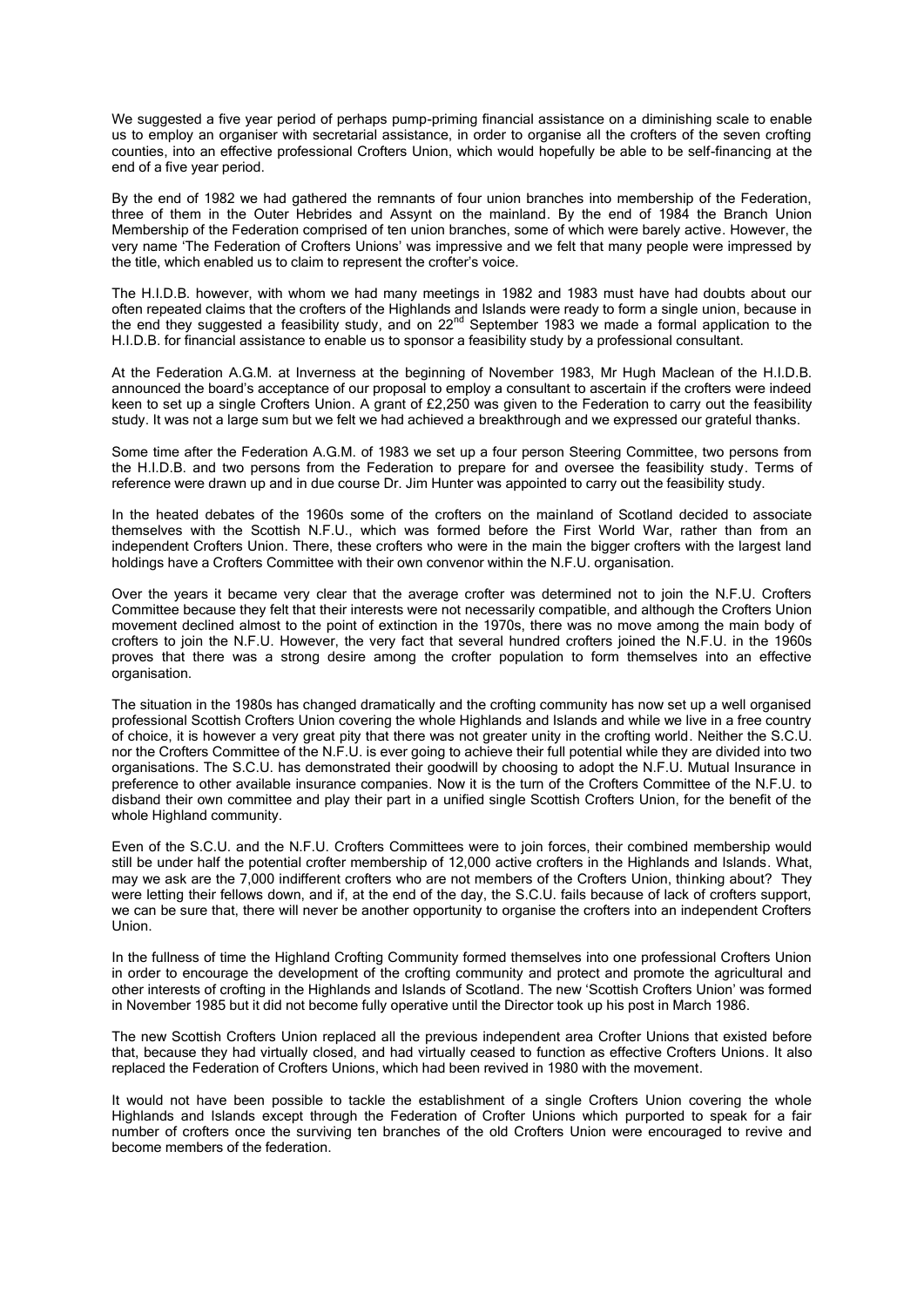We suggested a five year period of perhaps pump-priming financial assistance on a diminishing scale to enable us to employ an organiser with secretarial assistance, in order to organise all the crofters of the seven crofting counties, into an effective professional Crofters Union, which would hopefully be able to be self-financing at the end of a five year period.

By the end of 1982 we had gathered the remnants of four union branches into membership of the Federation, three of them in the Outer Hebrides and Assynt on the mainland. By the end of 1984 the Branch Union Membership of the Federation comprised of ten union branches, some of which were barely active. However, the very name 'The Federation of Crofters Unions' was impressive and we felt that many people were impressed by the title, which enabled us to claim to represent the crofter's voice.

The H.I.D.B. however, with whom we had many meetings in 1982 and 1983 must have had doubts about our often repeated claims that the crofters of the Highlands and Islands were ready to form a single union, because in the end they suggested a feasibility study, and on 22<sup>nd</sup> September 1983 we made a formal application to the H.I.D.B. for financial assistance to enable us to sponsor a feasibility study by a professional consultant.

At the Federation A.G.M. at Inverness at the beginning of November 1983, Mr Hugh Maclean of the H.I.D.B. announced the board's acceptance of our proposal to employ a consultant to ascertain if the crofters were indeed keen to set up a single Crofters Union. A grant of £2,250 was given to the Federation to carry out the feasibility study. It was not a large sum but we felt we had achieved a breakthrough and we expressed our grateful thanks.

Some time after the Federation A.G.M. of 1983 we set up a four person Steering Committee, two persons from the H.I.D.B. and two persons from the Federation to prepare for and oversee the feasibility study. Terms of reference were drawn up and in due course Dr. Jim Hunter was appointed to carry out the feasibility study.

In the heated debates of the 1960s some of the crofters on the mainland of Scotland decided to associate themselves with the Scottish N.F.U., which was formed before the First World War, rather than from an independent Crofters Union. There, these crofters who were in the main the bigger crofters with the largest land holdings have a Crofters Committee with their own convenor within the N.F.U. organisation.

Over the years it became very clear that the average crofter was determined not to join the N.F.U. Crofters Committee because they felt that their interests were not necessarily compatible, and although the Crofters Union movement declined almost to the point of extinction in the 1970s, there was no move among the main body of crofters to join the N.F.U. However, the very fact that several hundred crofters joined the N.F.U. in the 1960s proves that there was a strong desire among the crofter population to form themselves into an effective organisation.

The situation in the 1980s has changed dramatically and the crofting community has now set up a well organised professional Scottish Crofters Union covering the whole Highlands and Islands and while we live in a free country of choice, it is however a very great pity that there was not greater unity in the crofting world. Neither the S.C.U. nor the Crofters Committee of the N.F.U. is ever going to achieve their full potential while they are divided into two organisations. The S.C.U. has demonstrated their goodwill by choosing to adopt the N.F.U. Mutual Insurance in preference to other available insurance companies. Now it is the turn of the Crofters Committee of the N.F.U. to disband their own committee and play their part in a unified single Scottish Crofters Union, for the benefit of the whole Highland community.

Even of the S.C.U. and the N.F.U. Crofters Committees were to join forces, their combined membership would still be under half the potential crofter membership of 12,000 active crofters in the Highlands and Islands. What, may we ask are the 7,000 indifferent crofters who are not members of the Crofters Union, thinking about? They were letting their fellows down, and if, at the end of the day, the S.C.U. fails because of lack of crofters support, we can be sure that, there will never be another opportunity to organise the crofters into an independent Crofters Union.

In the fullness of time the Highland Crofting Community formed themselves into one professional Crofters Union in order to encourage the development of the crofting community and protect and promote the agricultural and other interests of crofting in the Highlands and Islands of Scotland. The new 'Scottish Crofters Union' was formed in November 1985 but it did not become fully operative until the Director took up his post in March 1986.

The new Scottish Crofters Union replaced all the previous independent area Crofter Unions that existed before that, because they had virtually closed, and had virtually ceased to function as effective Crofters Unions. It also replaced the Federation of Crofters Unions, which had been revived in 1980 with the movement.

It would not have been possible to tackle the establishment of a single Crofters Union covering the whole Highlands and Islands except through the Federation of Crofter Unions which purported to speak for a fair number of crofters once the surviving ten branches of the old Crofters Union were encouraged to revive and become members of the federation.